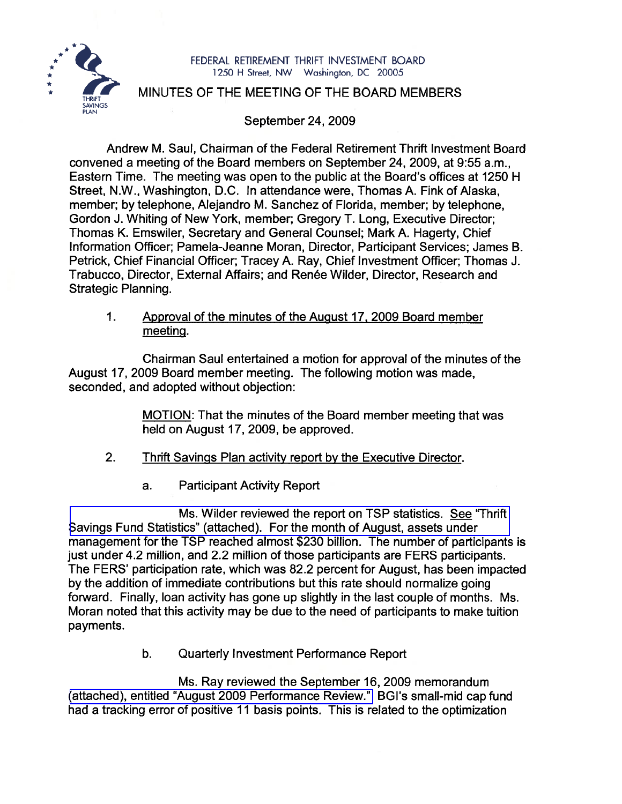

## \*\*\* \*% FEDERAL RETIREMENT THRIFT INVESTMENT BOARD \* 1250 H Street, NW Washington, DC 20005 \* \* **THRIFT** MINUTES OF THE MEETING OF THE BOARD MEMBERS

September 24, 2009

Andrew M. Saul, Chairman of the Federal Retirement Thrift lnvestment Board convened a meeting of the Board members on September 24, 2009, at 9:55 a.m., Eastern Time. The meeting was open to the public at the Board's offices at 1250 H Street, N.W., Washington, D.C. In attendance were, Thomas A. Fink of Alaska, member; by telephone, Alejandro M. Sanchez of Florida, member; by telephone, Gordon J. Whiting of New York, member; Gregory T. Long, Executive Director; Thomas K. Emswiler, Secretary and General Counsel; Mark A. Hagerty, Chief Information Officer; Pamela-Jeanne Moran, Director, Participant Services; James B. Petrick, Chief Financial Officer; Tracey A. Ray, Chief lnvestment Officer; Thomas J. Trabucco, Director, External Affairs; and Renée Wilder, Director, Research and Strategic Planning.

 $\mathbf 1$ . Approval of the minutes of the August 17,2009 Board member meetinq.

Chairman Saul entertained a motion for approval of the minutes of the August 17, 2009 Board member meeting. The following motion was made, seconded, and adopted without objection:

> MOTION: That the minutes of the Board member meeting that was held on August 17, 2009, be approved.

- $2.$ Thrift Savings Plan activitv report bv the Executive Director.
	- a. Participant Activity Report

Ms. Wilder reviewed the report on TSP statistics. *See* "Thrift [Savings Fund Statistics" \(attached\). For the month of August, assets under](http://www.frtib.gov/pdf/minutes/MM-2009Sep-Att1.pdf)  management for the TSP reached almost \$230 billion. The number of participants is just under 4.2 million, and 2.2 million of those participants are FERS participants. The FERS' participation rate, which was 82.2 percent for August, has been impacted by the addition of immediate contributions but this rate should normalize going forward. Finally, loan activity has gone up slightly in the last couple of months. Ms. Moran noted that this activity may be due to the need of participants to make tuition payments.

> b. Quarterly lnvestment Performance Report

Ms. Ray reviewed the September 16,2009 memorandum [\(attached\), entitled "August 2009 Performance Review."](http://www.frtib.gov/pdf/minutes/MM-2009Sep-Att2.pdf) BGl's small-mid cap fund had a tracking error of positive 11 basis points. This is related to the optimization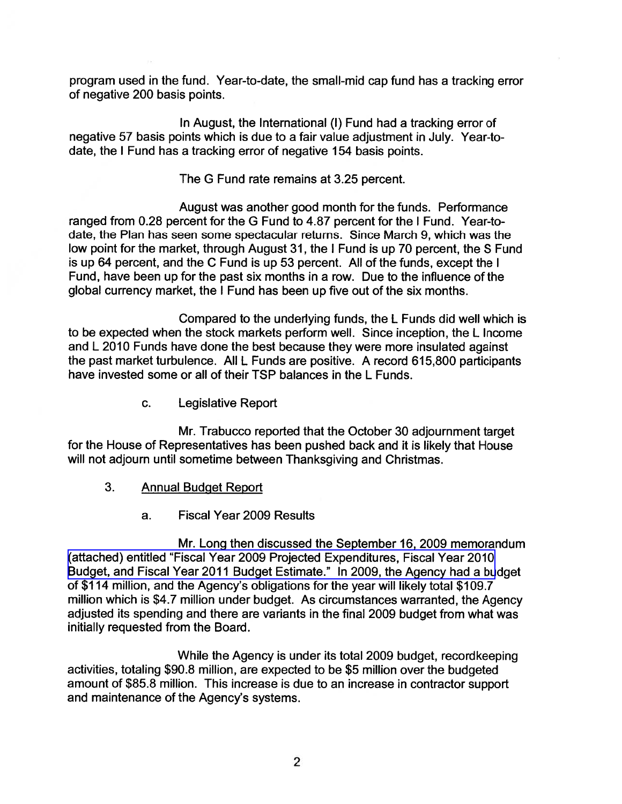program used in the fund. Year-to-date, the small-mid cap fund has a tracking error of negative 200 basis points.

In August, the International (I) Fund had a tracking error of negative 57 basis points which is due to a fair value adjustment in July. Year-todate, the I Fund has a tracking error of negative 154 basis points.

The G Fund rate remains at 3.25 percent.

August was another good month for the funds. Performance ranged from 0.28 percent for the G Fund to 4.87 percent for the I Fund. Year-todate, the Plan has seen some spectacular returns. Since March 9, which was the low point for the market, through August 31, the I Fund is up 70 percent, the S Fund is up 64 percent, and the C Fund is up 53 percent. All of the funds, except the I Fund, have been up for the past six months in a row. Due to the influence of the global currency market, the I Fund has been up five out of the six months.

Compared to the underlying funds, the L Funds did well which is to be expected when the stock markets perform well. Since inception, the L Income and L 2010 Funds have done the best because they were more insulated against the past market turbulence. All L Funds are positive. A record 615,800 participants have invested some or all of their TSP balances in the L Funds.

c. Legislative Report

Mr. Trabucco reported that the October 30 adjournment target for the House of Representatives has been pushed back and it is likely that House will not adjourn until sometime between Thanksgiving and Christmas.

- 3. Annual Budget Report
	- a. Fiscal Year 2009 Results

Mr. Long then discussed the September 16,2009 memorandum (attached) entitled "Fiscal Year 2009 Projected Expenditures, Fiscal Year 2010 Budget, and Fiscal Year 2011 Budget Estimate." In 2009, the Agency had a budget of \$1 14 million, and the Agency's obligations for the year will likely total \$109.7 million which is \$4.7 million under budget. As circumstances warranted, the Agency adjusted its spending and there are variants in the final 2009 budget from what was initially requested from the Board.

While the Agency is under its total 2009 budget, recordkeeping activities, totaling \$90.8 million, are expected to be \$5 million over the budgeted amount of \$85.8 million. This increase is due to an increase in contractor support and maintenance of the Agency's systems.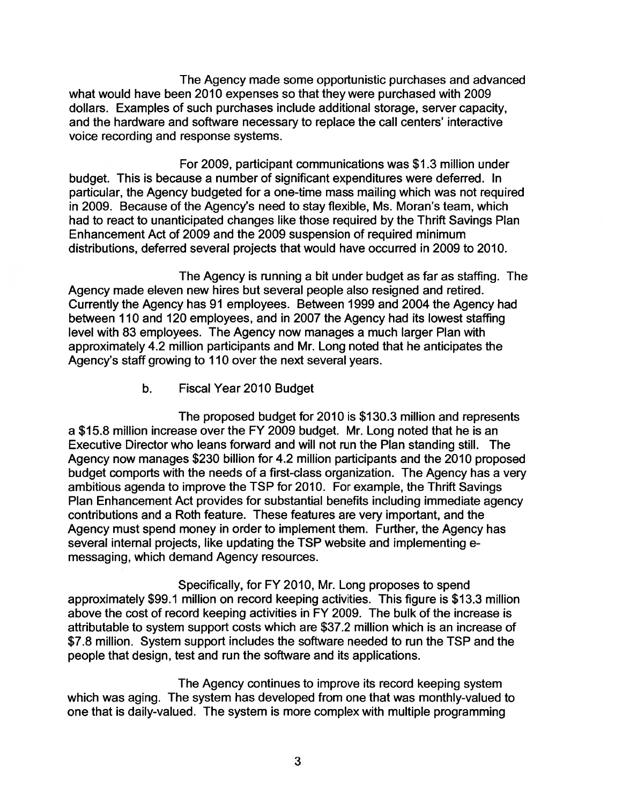The Agency made some opportunistic purchases and advanced what would have been 2010 expenses so that they were purchased with 2009 dollars. Examples of such purchases include additional storage, server capacity, and the hardware and software necessary to replace the call centers' interactive voice recording and response systems.

For 2009, participant communications was \$1.3 million under budget. This is because a number of significant expenditures were deferred. In particular, the Agency budgeted for a one-time mass mailing which was not required in 2009. Because of the Agency's need to stay flexible, Ms. Moran's team, which had to react to unanticipated changes like those required by the Thrift Savings Plan Enhancement Act of 2009 and the 2009 suspension of required minimum distributions, deferred several projects that would have occurred in 2009 to 2010.

The Agency is running a bit under budget as far as staffing. The Agency made eleven new hires but several people also resigned and retired. Currently the Agency has 91 employees. Between I999 and 2004 the Agency had between 110 and 120 employees, and in 2007 the Agency had its lowest staffing level with 83 employees. The Agency now manages a much larger Plan with approximately 4.2 million participants and Mr. Long noted that he anticipates the Agency's staff growing to 110 over the next several years.

b. Fiscal Year 2010 Budget

The proposed budget for 2010 is \$130.3 million and represents a \$15.8 million increase over the FY 2009 budget. Mr. Long noted that he is an Executive Director who leans forward and will not run the Plan standing still. The Agency now manages \$230 billion for 4.2 million participants and the 2010 proposed budget comports with the needs of a first-class organization. The Agency has a very ambitious agenda to improve the TSP for 2010. For example, the Thrift Savings Plan Enhancement Act provides for substantial benefits including immediate agency contributions and a Roth feature. These features are very important, and the Agency must spend money in order to implement them. Further, the Agency has several internal projects, like updating the TSP website and implementing emessaging, which demand Agency resources.

Specifically, for FY 2010, Mr. Long proposes to spend approximately \$99.1 million on record keeping activities. This figure is \$13.3 million above the cost of record keeping activities in FY 2009. The bulk of the increase is attributable to system support costs which are \$37.2 million which is an increase of \$7.8 million. System support includes the software needed to run the TSP and the people that design, test and run the software and its applications.

The Agency continues to improve its record keeping system which was aging. The system has developed from one that was monthly-valued to one that is daily-valued. The system is more complex with multiple programming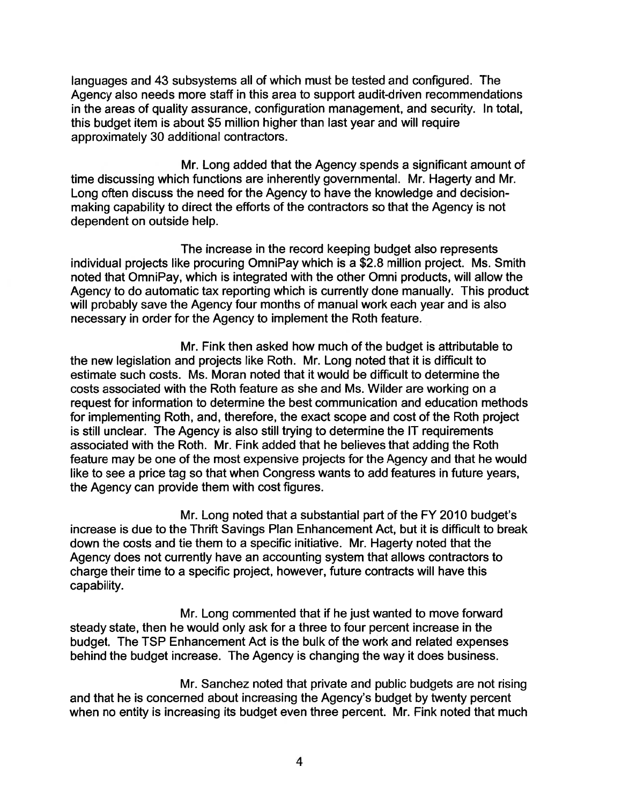languages and 43 subsystems all of which must be tested and configured. The Agency also needs more staff in this area to support audit-driven recommendations in the areas of quality assurance, configuration management, and security. In total, this budget item is about \$5 million higher than last year and will require approximately 30 additional contractors.

Mr. Long added that the Agency spends a significant amount of time discussing which functions are inherently governmental. Mr. Hagerty and Mr. Long often discuss the need for the Agency to have the knowledge and decisionmaking capability to direct the efforts of the contractors so that the Agency is not dependent on outside help.

The increase in the record keeping budget also represents individual projects like procuring OmniPay which is a \$2.8 million project. Ms. Smith noted that OmniPay, which is integrated with the other Omni products, will allow the Agency to do automatic tax reporting which is currently done manually. This product will probably save the Agency four months of manual work each year and is also necessary in order for the Agency to implement the Roth feature.

Mr. Fink then asked how much of the budget is attributable to the new legislation and projects like Roth. Mr. Long noted that it is difficult to estimate such costs. Ms. Moran noted that it would be difficult to determine the costs associated with the Roth feature as she and Ms. Wilder are working on a request for information to determine the best communication and education methods for implementing Roth, and, therefore, the exact scope and cost of the Roth project is still unclear. The Agency is also still trying to determine the IT requirements associated with the Roth. Mr. Fink added that he believes that adding the Roth feature may be one of the most expensive projects for the Agency and that he would like to see a price tag so that when Congress wants to add features in future years, the Agency can provide them with cost figures.

Mr. Long noted that a substantial part of the FY 2010 budget's increase is due to the Thrift Savings Plan Enhancement Act, but it is difficult to break down the costs and tie them to a specific initiative. Mr. Hagerty noted that the Agency does not currently have an accounting system that allows contractors to charge their time to a specific project, however, future contracts will have this capability.

Mr. Long commented that if he just wanted to move forward steady state, then he would only ask for a three to four percent increase in the budget. The TSP Enhancement Act is the bulk of the work and related expenses behind the budget increase. The Agency is changing the way it does business.

Mr. Sanchez noted that private and public budgets are not rising and that he is concerned about increasing the Agency's budget by twenty percent when no entity is increasing its budget even three percent. Mr. Fink noted that much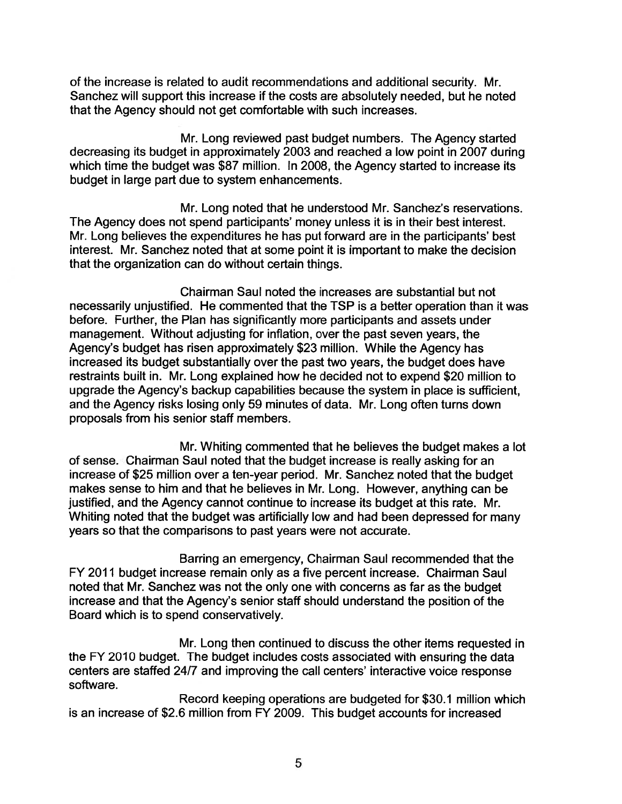of the increase is related to audit recommendations and additional security. Mr. Sanchez will support this increase if the costs are absolutely needed, but he noted that the Agency should not get comfortable with such increases.

Mr. Long reviewed past budget numbers. The Agency started decreasing its budget in approximately 2003 and reached a low point in 2007 during which time the budget was \$87 million. In 2008, the Agency started to increase its budget in large part due to system enhancements.

Mr. Long noted that he understood Mr. Sanchez's reservations. The Agency does not spend participants' money unless it is in their best interest. Mr. Long believes the expenditures he has put forward are in the participants' best interest. Mr. Sanchez noted that at some point it is important to make the decision that the organization can do without certain things.

Chairman Saul noted the increases are substantial but not necessarily unjustified. He commented that the TSP is a better operation than it was before. Further, the Plan has significantly more participants and assets under management. Without adjusting for inflation, over the past seven years, the Agency's budget has risen approximately \$23 million. While the Agency has increased its budget substantially over the past two years, the budget does have restraints built in. Mr. Long explained how he decided not to expend \$20 million to upgrade the Agency's backup capabilities because the system in place is sufficient, and the Agency risks losing only 59 minutes of data. Mr. Long often turns down proposals from his senior staff members.

Mr. Whiting commented that he believes the budget makes a lot of sense. Chairman Saul noted that the budget increase is really asking for an increase of \$25 million over a ten-year period. Mr. Sanchez noted that the budget makes sense to him and that he believes in Mr. Long. However, anything can be justified, and the Agency cannot continue to increase its budget at this rate. Mr. Whiting noted that the budget was artificially low and had been depressed for many years so that the comparisons to past years were not accurate.

Barring an emergency, Chairman Saul recommended that the FY 2011 budget increase remain only as a five percent increase. Chairman Saul noted that Mr. Sanchez was not the only one with concerns as far as the budget increase and that the Agency's senior staff should understand the position of the Board which is to spend conservatively.

Mr. Long then continued to discuss the other items requested in the FY 2010 budget. The budget includes costs associated with ensuring the data centers are staffed 2417 and improving the call centers' interactive voice response software.

Record keeping operations are budgeted for \$30.1 million which is an increase of \$2.6 million from FY 2009. This budget accounts for increased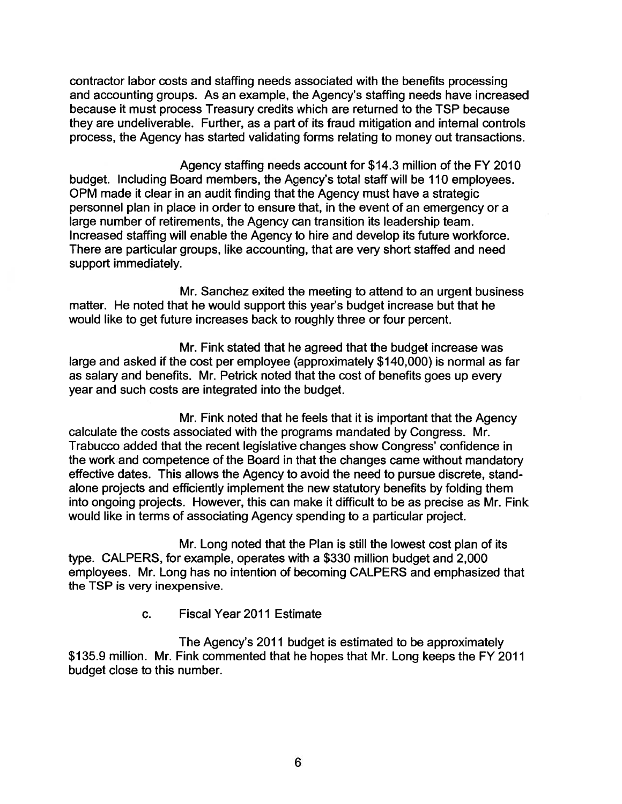contractor labor costs and staffing needs associated with the benefits processing and accounting groups. As an example, the Agency's staffing needs have increased because it must process Treasury credits which are returned to the TSP because they are undeliverable. Further, as a part of its fraud mitigation and internal controls process, the Agency has started validating forms relating to money out transactions.

Agency staffing needs account for \$14.3 million of the FY 2010 budget. Including Board members, the Agency's total staff will be 110 employees. OPM made it clear in an audit finding that the Agency must have a strategic personnel plan in place in order to ensure that, in the event of an emergency or a large number of retirements, the Agency can transition its leadership team. Increased staffing will enable the Agency to hire and develop its future workforce. There are particular groups, like accounting, that are very short staffed and need support immediately.

Mr. Sanchez exited the meeting to attend to an urgent business matter. He noted that he would support this year's budget increase but that he would like to get future increases back to roughly three or four percent.

Mr. Fink stated that he agreed that the budget increase was large and asked if the cost per employee (approximately \$140,000) is normal as far as salary and benefits. Mr. Petrick noted that the cost of benefits goes up every year and such costs are integrated into the budget.

Mr. Fink noted that he feels that it is important that the Agency calculate the costs associated with the programs mandated by Congress. Mr. Trabucco added that the recent legislative changes show Congress' confidence in the work and competence of the Board in that the changes came without mandatory effective dates. This allows the Agency to avoid the need to pursue discrete, standalone projects and efficiently implement the new statutory benefits by folding them into ongoing projects. However, this can make it difficult to be as precise as Mr. Fink would like in terms of associating Agency spending to a particular project.

Mr. Long noted that the Plan is still the lowest cost plan of its type. CALPERS, for example, operates with a \$330 million budget and 2,000 employees. Mr. Long has no intention of becoming CALPERS and emphasized that the TSP is very inexpensive.

c. Fiscal Year 2011 Estimate

The Agency's 2011 budget is estimated to be approximately \$135.9 million. Mr. Fink commented that he hopes that Mr. Long keeps the FY 2011 budget close to this number.